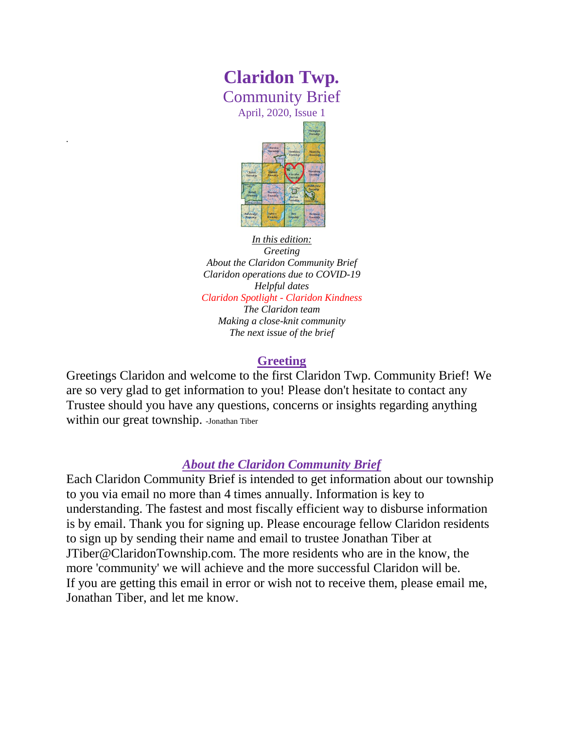# **Claridon Twp.** Community Brief

April, 2020, Issue 1

*.*



*In this edition: Greeting*

*About the Claridon Community Brief Claridon operations due to COVID-19 Helpful dates Claridon Spotlight - Claridon Kindness The Claridon team Making a close-knit community The next issue of the brief*

#### **Greeting**

Greetings Claridon and welcome to the first Claridon Twp. Community Brief! We are so very glad to get information to you! Please don't hesitate to contact any Trustee should you have any questions, concerns or insights regarding anything within our great township. -Jonathan Tiber

# *About the Claridon Community Brief*

Each Claridon Community Brief is intended to get information about our township to you via email no more than 4 times annually. Information is key to understanding. The fastest and most fiscally efficient way to disburse information is by email. Thank you for signing up. Please encourage fellow Claridon residents to sign up by sending their name and email to trustee Jonathan Tiber at JTiber@ClaridonTownship.com. The more residents who are in the know, the more 'community' we will achieve and the more successful Claridon will be. If you are getting this email in error or wish not to receive them, please email me, Jonathan Tiber, and let me know.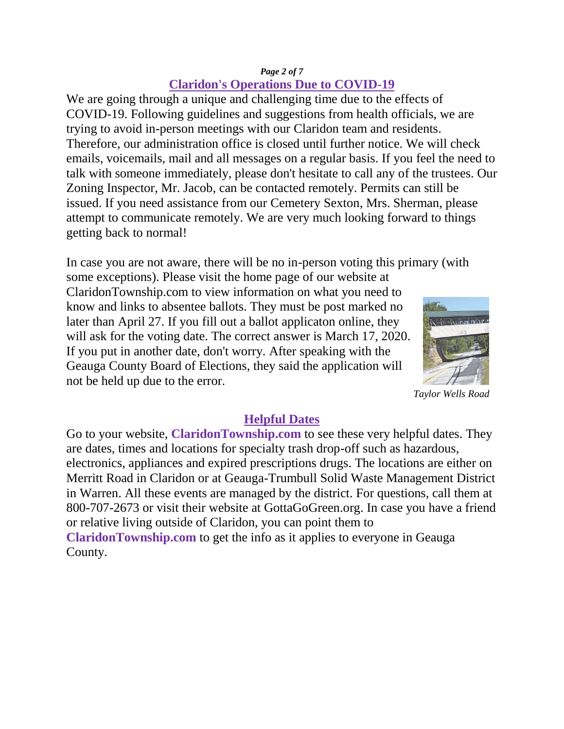#### *Page 2 of 7* **Claridon's Operations Due to COVID-19**

We are going through a unique and challenging time due to the effects of COVID-19. Following guidelines and suggestions from health officials, we are trying to avoid in-person meetings with our Claridon team and residents. Therefore, our administration office is closed until further notice. We will check emails, voicemails, mail and all messages on a regular basis. If you feel the need to talk with someone immediately, please don't hesitate to call any of the trustees. Our Zoning Inspector, Mr. Jacob, can be contacted remotely. Permits can still be issued. If you need assistance from our Cemetery Sexton, Mrs. Sherman, please attempt to communicate remotely. We are very much looking forward to things getting back to normal!

In case you are not aware, there will be no in-person voting this primary (with

some exceptions). Please visit the home page of our website at ClaridonTownship.com to view information on what you need to know and links to absentee ballots. They must be post marked no later than April 27. If you fill out a ballot applicaton online, they will ask for the voting date. The correct answer is March 17, 2020. If you put in another date, don't worry. After speaking with the Geauga County Board of Elections, they said the application will not be held up due to the error.



*Taylor Wells Road*

## **Helpful Dates**

Go to your website, **ClaridonTownship.com** to see these very helpful dates. They are dates, times and locations for specialty trash drop-off such as hazardous, electronics, appliances and expired prescriptions drugs. The locations are either on Merritt Road in Claridon or at Geauga-Trumbull Solid Waste Management District in Warren. All these events are managed by the district. For questions, call them at 800-707-2673 or visit their website at GottaGoGreen.org. In case you have a friend or relative living outside of Claridon, you can point them to **ClaridonTownship.com** to get the info as it applies to everyone in Geauga County.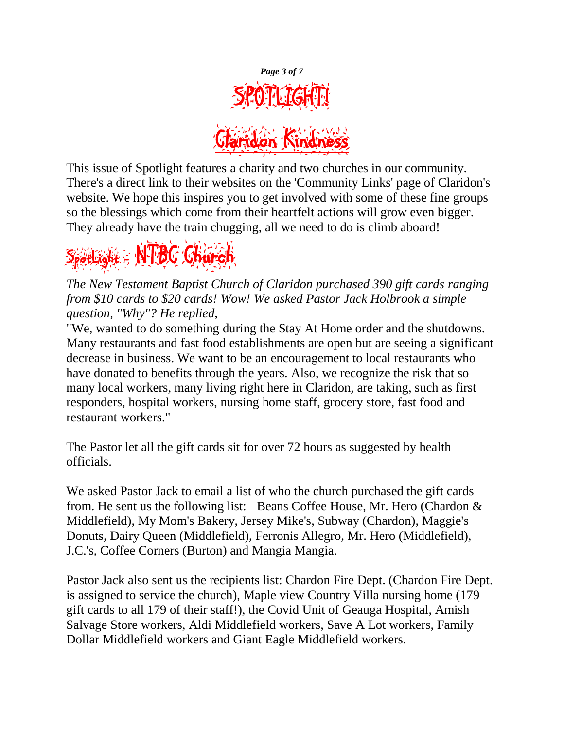

This issue of Spotlight features a charity and two churches in our community. There's a direct link to their websites on the 'Community Links' page of Claridon's website. We hope this inspires you to get involved with some of these fine groups so the blessings which come from their heartfelt actions will grow even bigger. They already have the train chugging, all we need to do is climb aboard!



*The New Testament Baptist Church of Claridon purchased 390 gift cards ranging from \$10 cards to \$20 cards! Wow! We asked Pastor Jack Holbrook a simple question, "Why"? He replied,* 

"We, wanted to do something during the Stay At Home order and the shutdowns. Many restaurants and fast food establishments are open but are seeing a significant decrease in business. We want to be an encouragement to local restaurants who have donated to benefits through the years. Also, we recognize the risk that so many local workers, many living right here in Claridon, are taking, such as first responders, hospital workers, nursing home staff, grocery store, fast food and restaurant workers."

The Pastor let all the gift cards sit for over 72 hours as suggested by health officials.

We asked Pastor Jack to email a list of who the church purchased the gift cards from. He sent us the following list: Beans Coffee House, Mr. Hero (Chardon & Middlefield), My Mom's Bakery, Jersey Mike's, Subway (Chardon), Maggie's Donuts, Dairy Queen (Middlefield), Ferronis Allegro, Mr. Hero (Middlefield), J.C.'s, Coffee Corners (Burton) and Mangia Mangia.

Pastor Jack also sent us the recipients list: Chardon Fire Dept. (Chardon Fire Dept. is assigned to service the church), Maple view Country Villa nursing home (179 gift cards to all 179 of their staff!), the Covid Unit of Geauga Hospital, Amish Salvage Store workers, Aldi Middlefield workers, Save A Lot workers, Family Dollar Middlefield workers and Giant Eagle Middlefield workers.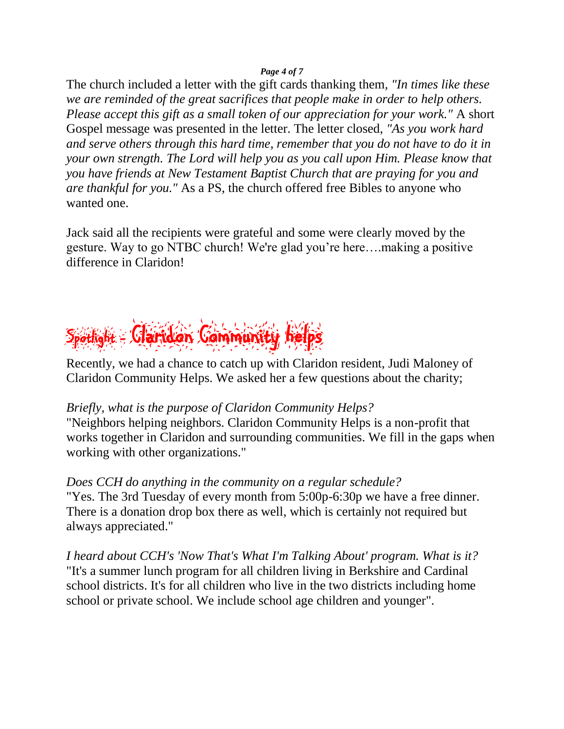#### *Page 4 of 7*

The church included a letter with the gift cards thanking them*, "In times like these we are reminded of the great sacrifices that people make in order to help others. Please accept this gift as a small token of our appreciation for your work."* A short Gospel message was presented in the letter. The letter closed, *"As you work hard and serve others through this hard time, remember that you do not have to do it in your own strength. The Lord will help you as you call upon Him. Please know that you have friends at New Testament Baptist Church that are praying for you and are thankful for you."* As a PS, the church offered free Bibles to anyone who wanted one.

Jack said all the recipients were grateful and some were clearly moved by the gesture. Way to go NTBC church! We're glad you're here….making a positive difference in Claridon!

# Spotlight - Claridon Community helps

Recently, we had a chance to catch up with Claridon resident, Judi Maloney of Claridon Community Helps. We asked her a few questions about the charity;

## *Briefly, what is the purpose of Claridon Community Helps?*

"Neighbors helping neighbors. Claridon Community Helps is a non-profit that works together in Claridon and surrounding communities. We fill in the gaps when working with other organizations."

*Does CCH do anything in the community on a regular schedule?* "Yes. The 3rd Tuesday of every month from 5:00p-6:30p we have a free dinner. There is a donation drop box there as well, which is certainly not required but always appreciated."

*I heard about CCH's 'Now That's What I'm Talking About' program. What is it?* "It's a summer lunch program for all children living in Berkshire and Cardinal school districts. It's for all children who live in the two districts including home school or private school. We include school age children and younger".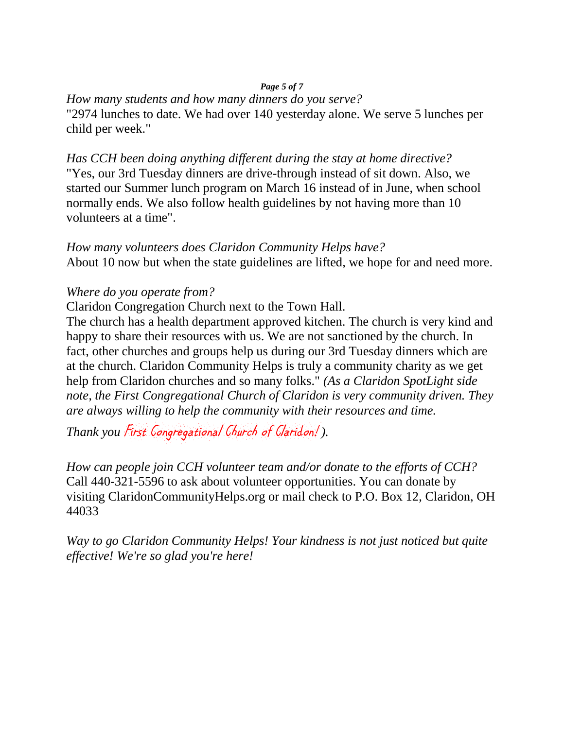#### *Page 5 of 7*

#### *How many students and how many dinners do you serve?*

"2974 lunches to date. We had over 140 yesterday alone. We serve 5 lunches per child per week."

*Has CCH been doing anything different during the stay at home directive?* "Yes, our 3rd Tuesday dinners are drive-through instead of sit down. Also, we started our Summer lunch program on March 16 instead of in June, when school normally ends. We also follow health guidelines by not having more than 10 volunteers at a time".

*How many volunteers does Claridon Community Helps have?* About 10 now but when the state guidelines are lifted, we hope for and need more.

#### *Where do you operate from?*

Claridon Congregation Church next to the Town Hall.

The church has a health department approved kitchen. The church is very kind and happy to share their resources with us. We are not sanctioned by the church. In fact, other churches and groups help us during our 3rd Tuesday dinners which are at the church. Claridon Community Helps is truly a community charity as we get help from Claridon churches and so many folks." *(As a Claridon SpotLight side note, the First Congregational Church of Claridon is very community driven. They are always willing to help the community with their resources and time.* 

*Thank you* First Congregational Church of Claridon! *).*

*How can people join CCH volunteer team and/or donate to the efforts of CCH?* Call 440-321-5596 to ask about volunteer opportunities. You can donate by visiting ClaridonCommunityHelps.org or mail check to P.O. Box 12, Claridon, OH 44033

*Way to go Claridon Community Helps! Your kindness is not just noticed but quite effective! We're so glad you're here!*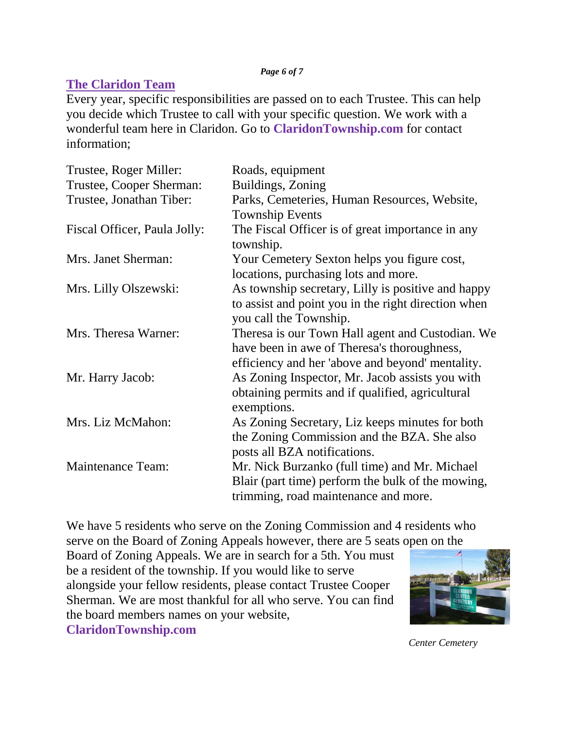#### *Page 6 of 7*

# **The Claridon Team**

Every year, specific responsibilities are passed on to each Trustee. This can help you decide which Trustee to call with your specific question. We work with a wonderful team here in Claridon. Go to **ClaridonTownship.com** for contact information;

| Roads, equipment                                    |
|-----------------------------------------------------|
| Buildings, Zoning                                   |
| Parks, Cemeteries, Human Resources, Website,        |
| <b>Township Events</b>                              |
| The Fiscal Officer is of great importance in any    |
| township.                                           |
| Your Cemetery Sexton helps you figure cost,         |
| locations, purchasing lots and more.                |
| As township secretary, Lilly is positive and happy  |
| to assist and point you in the right direction when |
| you call the Township.                              |
| Theresa is our Town Hall agent and Custodian. We    |
| have been in awe of Theresa's thoroughness,         |
| efficiency and her 'above and beyond' mentality.    |
| As Zoning Inspector, Mr. Jacob assists you with     |
| obtaining permits and if qualified, agricultural    |
| exemptions.                                         |
| As Zoning Secretary, Liz keeps minutes for both     |
| the Zoning Commission and the BZA. She also         |
| posts all BZA notifications.                        |
| Mr. Nick Burzanko (full time) and Mr. Michael       |
| Blair (part time) perform the bulk of the mowing,   |
| trimming, road maintenance and more.                |
|                                                     |

We have 5 residents who serve on the Zoning Commission and 4 residents who serve on the Board of Zoning Appeals however, there are 5 seats open on the

Board of Zoning Appeals. We are in search for a 5th. You must be a resident of the township. If you would like to serve alongside your fellow residents, please contact Trustee Cooper Sherman. We are most thankful for all who serve. You can find the board members names on your website,

**ClaridonTownship.com** 

*Center Cemetery*